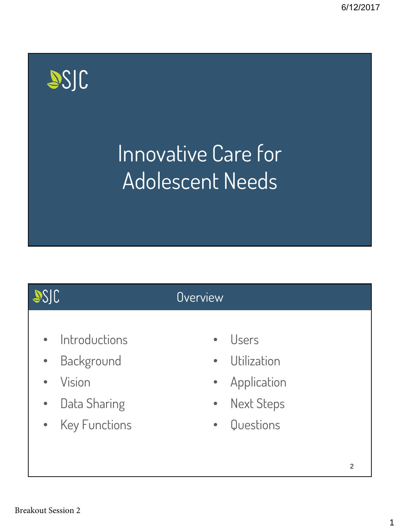# SSJC

# Innovative Care for Adolescent Needs

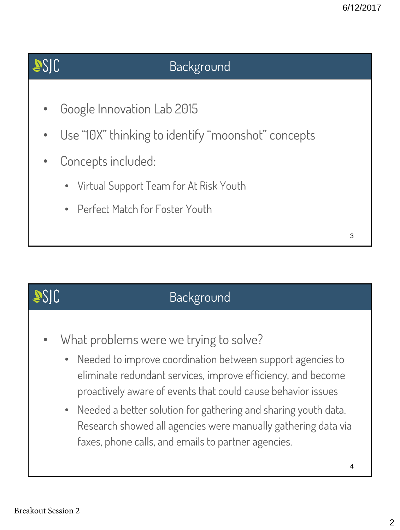## SSJC

### Background

- Google Innovation Lab 2015
- Use "10X" thinking to identify "moonshot" concepts
- Concepts included:
	- Virtual Support Team for At Risk Youth
	- Perfect Match for Foster Youth

**JSJC** 

#### Background

- What problems were we trying to solve?
	- Needed to improve coordination between support agencies to eliminate redundant services, improve efficiency, and become proactively aware of events that could cause behavior issues
	- Needed a better solution for gathering and sharing youth data. Research showed all agencies were manually gathering data via faxes, phone calls, and emails to partner agencies.

3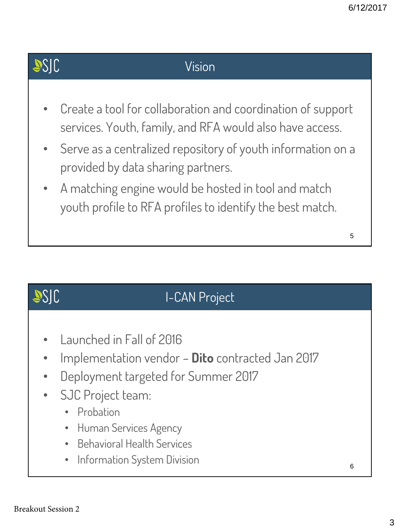## SSJC

#### Vision

- Create a tool for collaboration and coordination of support services. Youth, family, and RFA would also have access.
- Serve as a centralized repository of youth information on a provided by data sharing partners.
- A matching engine would be hosted in tool and match youth profile to RFA profiles to identify the best match.

## **JSJC** I-CAN Project • Launched in Fall of 2016 • Implementation vendor – **Dito** contracted Jan 2017 • Deployment targeted for Summer 2017 SJC Project team: • Probation • Human Services Agency • Behavioral Health Services • Information System Division 6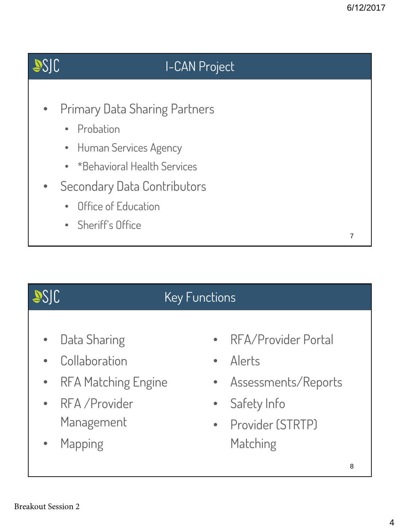

## Key Functions

- Data Sharing
- Collaboration
- RFA Matching Engine
- RFA /Provider Management
- Mapping
- RFA/Provider Portal
- Alerts
- Assessments/Reports
- Safety Info
- Provider (STRTP) Matching

SSJC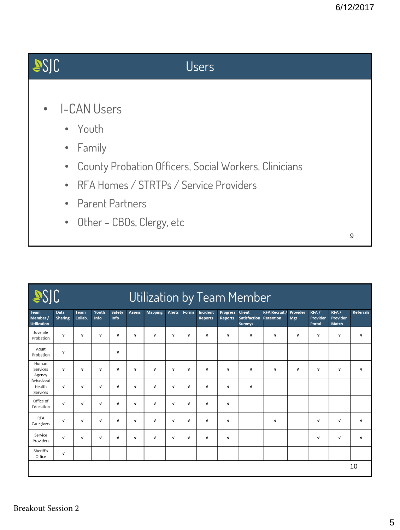

| SSIC<br>Utilization by Team Member    |                        |                 |               |                |               |                |               |              |                            |                                   |                                                        |                          |                 |                            |                           |                  |
|---------------------------------------|------------------------|-----------------|---------------|----------------|---------------|----------------|---------------|--------------|----------------------------|-----------------------------------|--------------------------------------------------------|--------------------------|-----------------|----------------------------|---------------------------|------------------|
| Team<br>Member/<br><b>Utilization</b> | Data<br><b>Sharing</b> | Team<br>Collab. | Youth<br>Info | Safety<br>Info | <b>Assess</b> | <b>Mapping</b> | <b>Alerts</b> | Forms        | Incident<br><b>Reports</b> | <b>Progress</b><br><b>Reports</b> | <b>Client</b><br><b>Satisfaction</b><br><b>Surveys</b> | RFA Recruit<br>Retention | Provider<br>Mgt | RFA/<br>Provider<br>Portal | RFA/<br>Provider<br>Match | <b>Referrals</b> |
| Juvenile<br>Probation                 | $\mathbf{v}$           | $\mathbf{v}$    | $\mathbf{v}$  | $\mathbf v$    | v             | $\mathbf v$    | $\mathbf v$   | V            | V                          | v                                 | $\mathbf v$                                            | v                        | $\mathbf{v}$    | V                          | $\mathbf v$               | V                |
| Adult<br>Probation                    | $\mathbf{v}$           |                 |               | $\mathbf{v}$   |               |                |               |              |                            |                                   |                                                        |                          |                 |                            |                           |                  |
| Human<br>Services<br>Agency           | $\mathbf v$            | $\mathbf{v}$    | $\mathbf{v}$  | $\mathbf{v}$   | $\mathbf v$   | $\mathbf{v}$   | $\mathbf{v}$  | $\mathbf{v}$ | $\mathbf{v}$               | $\mathbf v$                       | $\mathbf{v}$                                           | $\mathbf v$              | $\mathbf{v}$    | v                          | $\mathbf{v}$              | V                |
| Behavioral<br>Health<br>Services      | $\mathbf v$            | $\mathbf{v}$    | $\mathbf{v}$  | $\mathbf v$    | $\mathbf v$   | $\mathbf v$    | $\mathbf v$   | $\mathbf v$  | $\mathbf v$                | $\mathbf v$                       | $\mathbf{v}$                                           |                          |                 |                            |                           |                  |
| Office of<br>Education                | $\mathbf{v}$           | $\mathbf{v}$    | $\mathbf{v}$  | $\mathbf{v}$   | $\mathbf v$   | v              | $\mathbf v$   | v            | $\mathbf{v}$               | v                                 |                                                        |                          |                 |                            |                           |                  |
| <b>RFA</b><br>Caregivers              | $\mathbf v$            | $\mathbf{v}$    | $\mathbf{v}$  | $\mathbf{v}$   | $\mathbf{v}$  | $\mathbf v$    | $\mathbf v$   | $\mathbf{v}$ | $\mathbf v$                | v                                 |                                                        | V                        |                 | V                          | $\mathbf v$               | V                |
| Service<br>Providers                  | $\mathbf v$            | v               | $\mathbf{v}$  | $\mathbf v$    | $\mathbf v$   | $\mathbf{v}$   | $\mathbf{v}$  | $\mathbf{v}$ | $\mathbf{v}$               | v                                 |                                                        |                          |                 | V                          | $\mathbf v$               | $\mathbf{v}$     |
| Sheriff's<br>Office                   | V                      |                 |               |                |               |                |               |              |                            |                                   |                                                        |                          |                 |                            |                           |                  |
|                                       |                        |                 |               |                |               |                |               |              |                            |                                   |                                                        |                          |                 |                            |                           | 10               |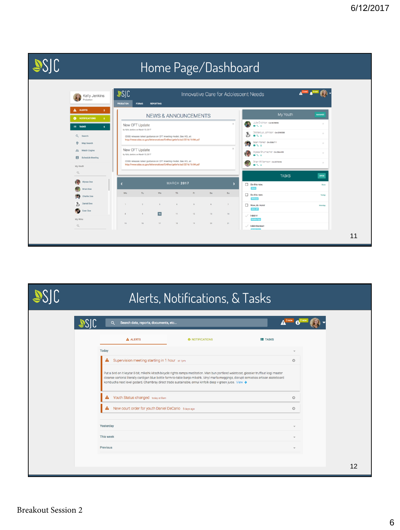|                                                                                                                                                                                |                          |                                                                                                                                                                                                                                                                                                                                                                                                          |                       |                                 |              |          |                | Home Page/Dashboard                                                                                                                                                                                           |                                                                            |    |
|--------------------------------------------------------------------------------------------------------------------------------------------------------------------------------|--------------------------|----------------------------------------------------------------------------------------------------------------------------------------------------------------------------------------------------------------------------------------------------------------------------------------------------------------------------------------------------------------------------------------------------------|-----------------------|---------------------------------|--------------|----------|----------------|---------------------------------------------------------------------------------------------------------------------------------------------------------------------------------------------------------------|----------------------------------------------------------------------------|----|
| Kelly Jenkins<br>Probation                                                                                                                                                     | JSIC<br><b>PROBATION</b> | <b>FORMS</b>                                                                                                                                                                                                                                                                                                                                                                                             | <b>REPORTING</b>      |                                 |              |          |                | Innovative Care for Adolescent Needs                                                                                                                                                                          |                                                                            |    |
| A ALERTS<br>3 <sup>7</sup>                                                                                                                                                     |                          |                                                                                                                                                                                                                                                                                                                                                                                                          |                       | <b>NEWS &amp; ANNOUNCEMENTS</b> |              |          |                | My Youth                                                                                                                                                                                                      | <b>MANAGE</b>                                                              |    |
| <b>6</b> NOTIFICATIONS<br>$\Omega$<br>$\equiv$ TASKS<br>$\mathbf{s}$<br>Q Search<br>$\Theta$<br>Map Search<br><b>22</b> Match Engine<br>Schedule Meeting<br>My Youth<br>$\Box$ |                          | New CFT Update<br>by Kelly Jenkins on March 13, 2017<br>CDSS releases latest guidance on CFT meeting model. See ACL at:<br>http://www.cdss.ca.gov/lettersnotices/EntRes/getinfo/acl/2016/16-84.pdf<br>New CFT Update<br>by Kelly Jenkins on March 13, 2017<br>CDSS releases latest guidance on CFT meeting model. See ACL at:<br>http://www.cdss.ca.gov/lettersnotices/EntRes/getinfo/acl/2016/16-84.pdf |                       |                                 |              |          |                | Julie Crichton cA-9478856<br>日じょ<br>DeMarcus Johnson cA-0098588<br>国大王<br>εэ<br>Sean Parker ca-0556711<br>t.<br>日じる<br>Alyssa Shumacher cA0964499<br>四人工<br>Brian Williamson cA0073356<br>日じょ<br><b>TASKS</b> | $\mathcal{H}$<br>$\gamma(\cdot)$<br>$\mathcal{A}$<br>$\mathcal{A}$<br>OPEN |    |
| o Call<br>Alyssa Doe                                                                                                                                                           |                          | <b>MARCH 2017</b>                                                                                                                                                                                                                                                                                                                                                                                        |                       |                                 |              |          | ۰,             | $\Box$ Do this now.                                                                                                                                                                                           | Now                                                                        |    |
| <b>Brian Doe</b><br>Œ.<br>Charlie Doe                                                                                                                                          | Mo                       | Tu                                                                                                                                                                                                                                                                                                                                                                                                       | We                    | Th                              | Fr           | Sa       | Su             | Work<br>$\Box$ Do this next.<br>Webapp                                                                                                                                                                        | Today                                                                      |    |
| Ъ<br>Daniel Doe<br>W<br>Evan Doe                                                                                                                                               | $\mathbf{I}$             | $\overline{2}$                                                                                                                                                                                                                                                                                                                                                                                           | $\mathbf{a}$          | $\mathcal{A}$                   | 5            | 6        | $\overline{z}$ | Now, do more!<br>Web API                                                                                                                                                                                      | Monday                                                                     |    |
| My RFAs<br>$\begin{array}{c} \n\mathbb{Q} \n\end{array}$                                                                                                                       | $\mathbf{B}$<br>15       | $\mathbf{Q}$<br>16                                                                                                                                                                                                                                                                                                                                                                                       | 10 <sub>1</sub><br>17 | 11<br>18                        | $12\,$<br>19 | 13<br>20 | 14<br>21       | Hdid-it-<br>$\checkmark$<br>Mobile App<br>I-did-this-too-<br>$\checkmark$                                                                                                                                     |                                                                            |    |
|                                                                                                                                                                                |                          |                                                                                                                                                                                                                                                                                                                                                                                                          |                       |                                 |              |          |                | <b>Advertising</b>                                                                                                                                                                                            |                                                                            | 11 |

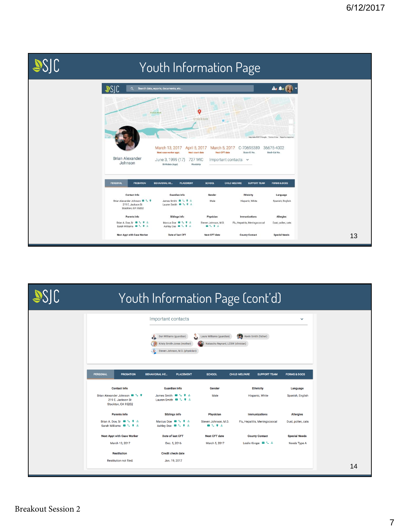| SJC | Youth Information Page                                                   |                                                                                                                                                                           |                                                              |                                                    |                                                                                     |  |    |  |  |  |
|-----|--------------------------------------------------------------------------|---------------------------------------------------------------------------------------------------------------------------------------------------------------------------|--------------------------------------------------------------|----------------------------------------------------|-------------------------------------------------------------------------------------|--|----|--|--|--|
|     | 2510<br>$\alpha$                                                         | Search data, reports, documents, etc                                                                                                                                      |                                                              |                                                    | $A_3$ $A_4$                                                                         |  |    |  |  |  |
|     | <b>Brian Alexander</b><br>Johnson                                        | <b>Victory Park</b><br>March 13, 2017<br>April 5, 2017<br>Next case worker appt.<br>Next court date<br>June 3, 1999 (17)<br><b>727 WIC</b><br>Birthdate (Age)<br>Wardship | ۰<br>Stockton<br>E.<br>March 5, 2017<br><b>Next CFT date</b> | C-70695389<br>State ID No.<br>Important contacts v | Map data @2017 Google Terms of Use Report a map error<br>36675-4002<br>Medi-Cal No. |  |    |  |  |  |
|     | <b>PERSONAL</b><br><b>PROBATION</b>                                      | <b>BEHAVIORAL HE</b><br><b>PLACEMENT</b>                                                                                                                                  | <b>SCHOOL</b>                                                | CHILD WELFARE<br><b>SUPPORT TEAM</b>               | <b>FORMS &amp; DOCS</b>                                                             |  |    |  |  |  |
|     | Contact Info                                                             | Guardian info                                                                                                                                                             | Gender                                                       | Ethnicity                                          | Language                                                                            |  |    |  |  |  |
|     | Brian Alexander Johnson & L 9<br>219 E. Jackson St<br>Stockton, CA 95202 | James Smith <b>a</b> L <b>9</b> &<br>Lauren Smith & L 9 &                                                                                                                 | Male                                                         | Hispanic, White                                    | Spanish, English                                                                    |  |    |  |  |  |
|     | Parents info                                                             | Siblings info                                                                                                                                                             | Physician                                                    | Immunizations                                      | Allergies                                                                           |  |    |  |  |  |
|     | Brian A. Doe, Sr & L Q &<br>Sarah Williams <b>B</b> L P &                | Marcus Doe B & 9 &<br>Ashley Doe B L 9 &                                                                                                                                  | Steven Johnson, M.D.<br><b>BL93</b>                          | Flu, Hepatitis, Meningococcal                      | Dust, pollen, cats                                                                  |  |    |  |  |  |
|     | <b>Next Appt with Case Worker</b>                                        | Date of last CFT                                                                                                                                                          | Next CFT date                                                | <b>County Contact</b>                              | <b>Special Needs</b>                                                                |  | 13 |  |  |  |

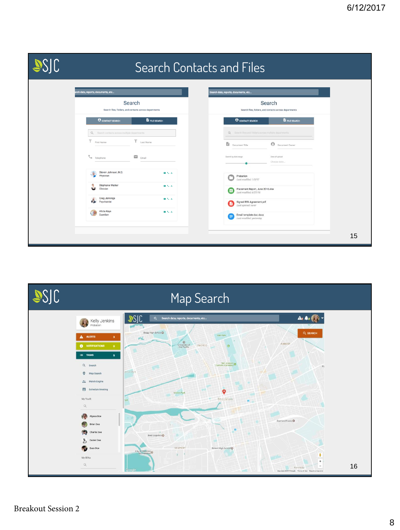|                                                                                                                                                                                                                                                                                                                                                                                                                               | Search Contacts and Files                                                                                                                                                                                                                                                                                                                                                                                                                                                                        |
|-------------------------------------------------------------------------------------------------------------------------------------------------------------------------------------------------------------------------------------------------------------------------------------------------------------------------------------------------------------------------------------------------------------------------------|--------------------------------------------------------------------------------------------------------------------------------------------------------------------------------------------------------------------------------------------------------------------------------------------------------------------------------------------------------------------------------------------------------------------------------------------------------------------------------------------------|
| rch data, reports, documents, etc<br>Search<br>Search files, folders, and contacts across departments<br><b>O CONTACT SEARCH</b><br><b>E</b> FILE SEARCH<br>Q Search contacts across multiple departments<br>T First Name<br>T Last Name<br>$\mathbb{C}_{\bullet}$ Telephone<br>$\sim$ Email<br>Steven Johnson, M.D.<br>日じる<br>Physician<br>Stephanie Walker<br>۵<br>日じょ<br>Clinician<br>Greg Jennings<br>自しる<br>Psychiatrist | arch data, reports, documents, etc<br>Search<br>Search files, folders, and contacts across departments<br><b>E</b> FILE SEARCH<br><b>O CONTACT SEARCH</b><br>Q: limits files and folders across multiple departments<br>Document Title<br><b>B</b> Document Owner<br>Search by date range<br>Date of upload<br>Choose date<br>Probation<br>Last modified: 1/5/17<br>Placement Report, June 2016.xlsx<br>$\mathbf{d}$<br>Last modified: 6/27/16<br>Signed RFA Agreement.pdf<br>Last opened: never |
| Alicia Keys<br>国大王<br>Guardian                                                                                                                                                                                                                                                                                                                                                                                                | Email template doc.docx<br>Last modified: yesterday<br>15                                                                                                                                                                                                                                                                                                                                                                                                                                        |

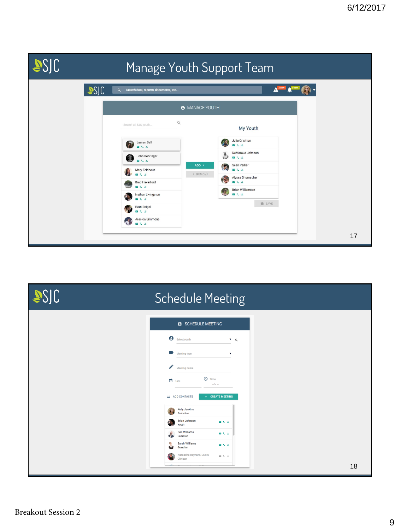

| SSJC | <b>Schedule Meeting</b>                                                                   |
|------|-------------------------------------------------------------------------------------------|
|      | SCHEDULE MEETING                                                                          |
|      | Select youth<br>$\bullet$ Q<br>Meeting type<br>$\mathbf v$                                |
|      | ╱<br>Meeting name<br>$Q$ Time<br>$\Box$ Date                                              |
|      | $\omega_{\rm c} = \omega_{\rm c}$<br>+ CREATE MEETING<br>ADD CONTACTS                     |
|      | <b>Kelly Jenkins</b><br>Probation<br><b>Brian Johnson</b><br>日じる<br>Youth                 |
|      | Dan Williams<br>日によ<br>$\mathbf{r}$<br>Guardian<br>e<br>Sarah Williams<br>日じる<br>Guardian |
|      | Natascha Reynard, LCSW<br>日もふ<br>Clinican                                                 |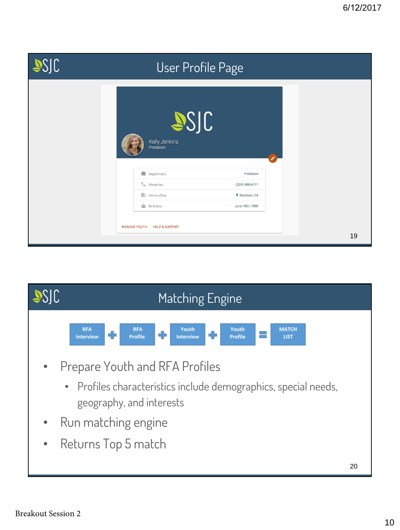| <b>ASJC</b> | User Profile Page                                                                                                                                                              |    |
|-------------|--------------------------------------------------------------------------------------------------------------------------------------------------------------------------------|----|
|             | SSJC<br>Kelly Jenkins<br>Probation<br>Department<br>Probation<br>Phone No.<br>$(209)$ 488-6771<br>Home office<br>9 Stockton, CA<br>$\frac{1}{22}$ Birthdate<br>June 18th, 1990 |    |
|             | <b>MANAGE YOUTH</b><br><b>HELP &amp; SUPPORT</b>                                                                                                                               | 19 |